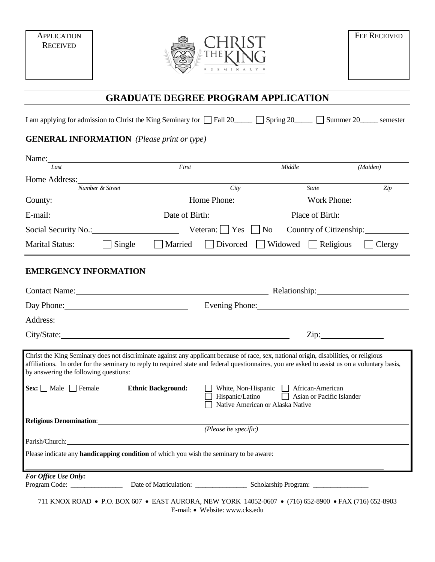**APPLICATION RECEIVED** 



## **GRADUATE DEGREE PROGRAM APPLICATION**

I am applying for admission to Christ the King Seminary for  $\Box$  Fall 20\_\_\_\_\_  $\Box$  Spring 20\_\_\_\_\_  $\Box$  Summer 20\_\_\_\_\_ semester

## **GENERAL INFORMATION** *(Please print or type)*

| Name:                                                                                                                                                                                                                                                                                                                                                    |                                                                                                                                                                                                                                                  |                                                      |                                |                                                                          |                                |               |  |
|----------------------------------------------------------------------------------------------------------------------------------------------------------------------------------------------------------------------------------------------------------------------------------------------------------------------------------------------------------|--------------------------------------------------------------------------------------------------------------------------------------------------------------------------------------------------------------------------------------------------|------------------------------------------------------|--------------------------------|--------------------------------------------------------------------------|--------------------------------|---------------|--|
| Last                                                                                                                                                                                                                                                                                                                                                     |                                                                                                                                                                                                                                                  | First                                                |                                | Middle                                                                   |                                | (Maiden)      |  |
| Home Address:                                                                                                                                                                                                                                                                                                                                            | Number & Street                                                                                                                                                                                                                                  |                                                      | City                           |                                                                          | <b>State</b>                   | Zip           |  |
|                                                                                                                                                                                                                                                                                                                                                          | County:                                                                                                                                                                                                                                          |                                                      |                                | Home Phone: 2000                                                         |                                | Work Phone:   |  |
| $E$ -mail: $\frac{1}{2}$                                                                                                                                                                                                                                                                                                                                 |                                                                                                                                                                                                                                                  |                                                      |                                |                                                                          | Date of Birth: Place of Birth: |               |  |
| Social Security No.:                                                                                                                                                                                                                                                                                                                                     |                                                                                                                                                                                                                                                  | Veteran: $ $   Yes     No<br>Country of Citizenship: |                                |                                                                          |                                |               |  |
| <b>Marital Status:</b>                                                                                                                                                                                                                                                                                                                                   | $\Box$ Single                                                                                                                                                                                                                                    | Married                                              |                                | $\Box$ Divorced $\Box$ Widowed $\Box$ Religious                          |                                | $\Box$ Clergy |  |
| <b>EMERGENCY INFORMATION</b>                                                                                                                                                                                                                                                                                                                             |                                                                                                                                                                                                                                                  |                                                      |                                |                                                                          |                                |               |  |
| Contact Name: Relationship: Relationship:                                                                                                                                                                                                                                                                                                                |                                                                                                                                                                                                                                                  |                                                      |                                |                                                                          |                                |               |  |
|                                                                                                                                                                                                                                                                                                                                                          | Evening Phone: New York Changes and School Changes and School Changes and School Changes and School Changes and School Changes and School Changes and School Changes and School Changes and School Changes and School Changes<br>Day Phone: 2008 |                                                      |                                |                                                                          |                                |               |  |
| Address: <u>New York: Address: New York: New York: New York: New York: New York: New York: New York: New York: New York: New York: New York: New York: New York: New York: New York: New York: New York: New York: New York: New</u>                                                                                                                     |                                                                                                                                                                                                                                                  |                                                      |                                |                                                                          |                                |               |  |
| City/State: City/State:                                                                                                                                                                                                                                                                                                                                  |                                                                                                                                                                                                                                                  |                                                      |                                |                                                                          | Zip:                           |               |  |
| Christ the King Seminary does not discriminate against any applicant because of race, sex, national origin, disabilities, or religious<br>affiliations. In order for the seminary to reply to required state and federal questionnaires, you are asked to assist us on a voluntary basis,<br>by answering the following questions:<br>$Sex:$ Male Female |                                                                                                                                                                                                                                                  | <b>Ethnic Background:</b>                            |                                | White, Non-Hispanic African-American<br>Native American or Alaska Native |                                |               |  |
|                                                                                                                                                                                                                                                                                                                                                          |                                                                                                                                                                                                                                                  |                                                      |                                |                                                                          |                                |               |  |
|                                                                                                                                                                                                                                                                                                                                                          |                                                                                                                                                                                                                                                  |                                                      | (Please be specific)           |                                                                          |                                |               |  |
| Parish/Church: 2007<br>Please indicate any <b>handicapping condition</b> of which you wish the seminary to be aware:                                                                                                                                                                                                                                     |                                                                                                                                                                                                                                                  |                                                      |                                |                                                                          |                                |               |  |
|                                                                                                                                                                                                                                                                                                                                                          |                                                                                                                                                                                                                                                  |                                                      |                                |                                                                          |                                |               |  |
| For Office Use Only:                                                                                                                                                                                                                                                                                                                                     |                                                                                                                                                                                                                                                  |                                                      |                                |                                                                          |                                |               |  |
| 711 KNOX ROAD • P.O. BOX 607 • EAST AURORA, NEW YORK 14052-0607 • (716) 652-8900 • FAX (716) 652-8903                                                                                                                                                                                                                                                    |                                                                                                                                                                                                                                                  |                                                      | E-mail: • Website: www.cks.edu |                                                                          |                                |               |  |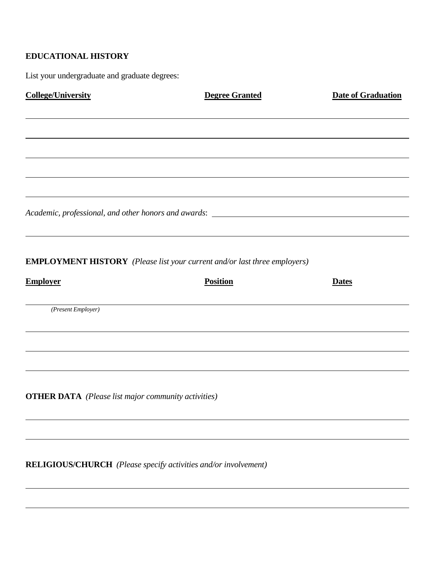## **EDUCATIONAL HISTORY**

 $\overline{a}$ 

 $\overline{a}$ 

List your undergraduate and graduate degrees:

| <b>College/University</b>                                                         | <b>Degree Granted</b> | <b>Date of Graduation</b> |
|-----------------------------------------------------------------------------------|-----------------------|---------------------------|
|                                                                                   |                       |                           |
|                                                                                   |                       |                           |
|                                                                                   |                       |                           |
| Academic, professional, and other honors and awards: ____________________________ |                       |                           |
| <b>EMPLOYMENT HISTORY</b> (Please list your current and/or last three employers)  |                       |                           |
| <b>Employer</b>                                                                   | <b>Position</b>       | <b>Dates</b>              |
| (Present Employer)                                                                |                       |                           |
|                                                                                   |                       |                           |
|                                                                                   |                       |                           |
| <b>OTHER DATA</b> (Please list major community activities)                        |                       |                           |
|                                                                                   |                       |                           |
| RELIGIOUS/CHURCH (Please specify activities and/or involvement)                   |                       |                           |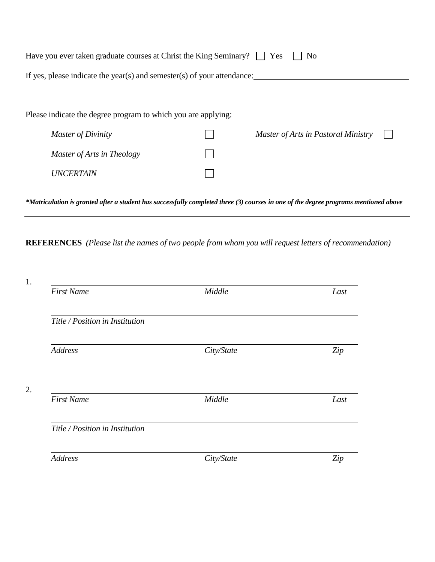| Have you ever taken graduate courses at Christ the King Seminary?   Yes<br>N <sub>0</sub> |  |                                     |  |  |  |
|-------------------------------------------------------------------------------------------|--|-------------------------------------|--|--|--|
| If yes, please indicate the year(s) and semester(s) of your attendance:                   |  |                                     |  |  |  |
|                                                                                           |  |                                     |  |  |  |
| Please indicate the degree program to which you are applying:                             |  |                                     |  |  |  |
| <b>Master of Divinity</b>                                                                 |  | Master of Arts in Pastoral Ministry |  |  |  |
| Master of Arts in Theology                                                                |  |                                     |  |  |  |
| <i><b>UNCERTAIN</b></i>                                                                   |  |                                     |  |  |  |
|                                                                                           |  |                                     |  |  |  |

*\*Matriculation is granted after a student has successfully completed three (3) courses in one of the degree programs mentioned above*

**REFERENCES** *(Please list the names of two people from whom you will request letters of recommendation)*

| <b>First Name</b>               | Middle     | Last |
|---------------------------------|------------|------|
| Title / Position in Institution |            |      |
| <b>Address</b>                  | City/State | Zip  |
| <b>First Name</b>               | Middle     | Last |
|                                 |            |      |
| Title / Position in Institution |            |      |